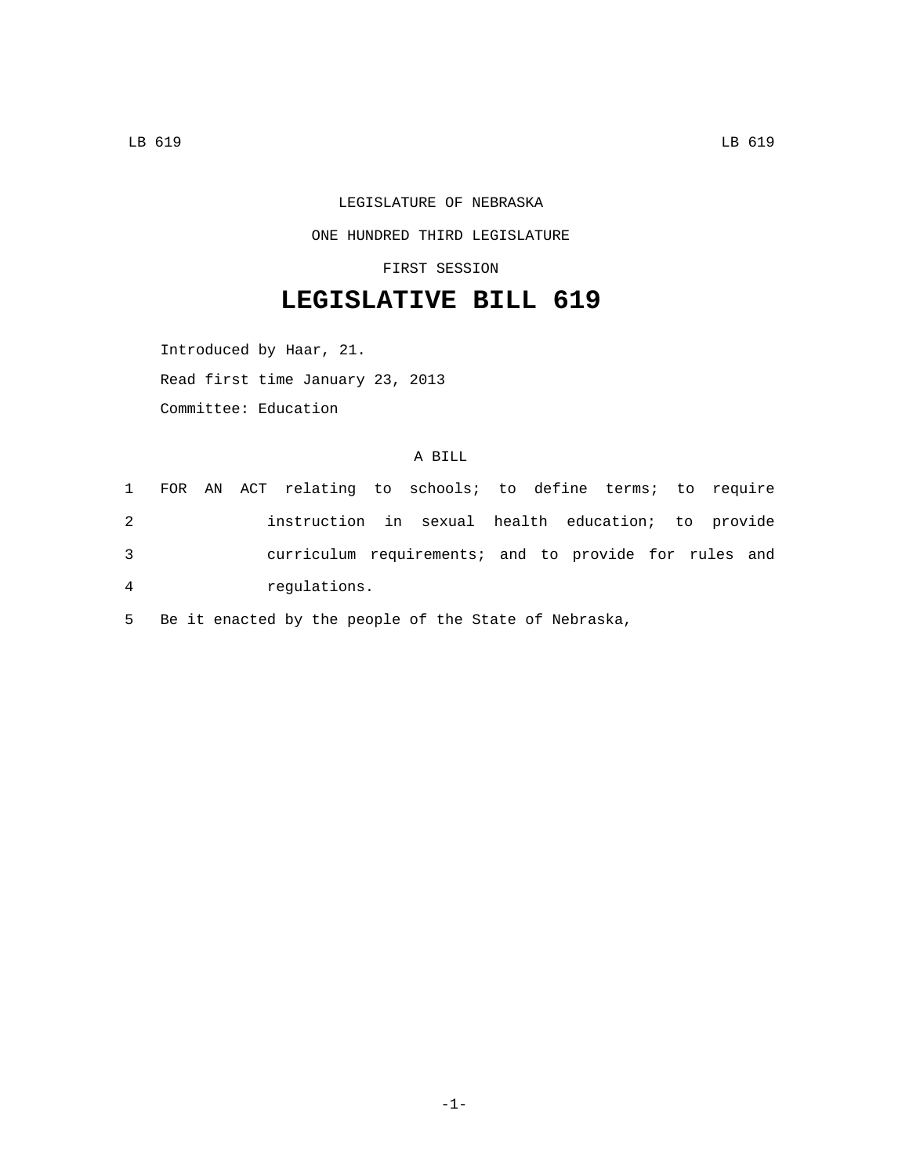LEGISLATURE OF NEBRASKA

ONE HUNDRED THIRD LEGISLATURE

FIRST SESSION

## **LEGISLATIVE BILL 619**

Introduced by Haar, 21. Read first time January 23, 2013 Committee: Education

## A BILL

|                |  | 1 FOR AN ACT relating to schools; to define terms; to require |  |  |  |  |  |
|----------------|--|---------------------------------------------------------------|--|--|--|--|--|
| 2              |  | instruction in sexual health education; to provide            |  |  |  |  |  |
| 3              |  | curriculum requirements; and to provide for rules and         |  |  |  |  |  |
| $\overline{4}$ |  | requlations.                                                  |  |  |  |  |  |

5 Be it enacted by the people of the State of Nebraska,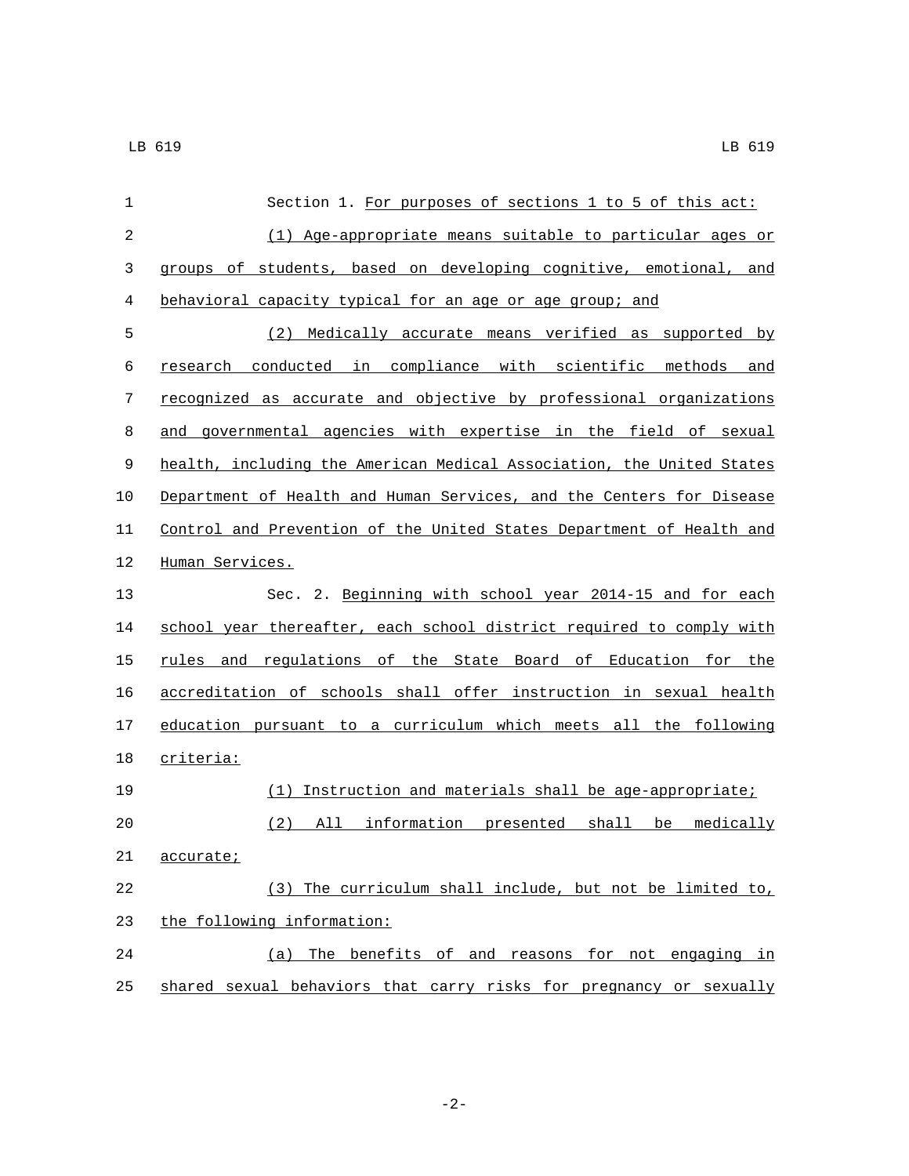| 1           | Section 1. For purposes of sections 1 to 5 of this act:               |
|-------------|-----------------------------------------------------------------------|
| 2           | (1) Age-appropriate means suitable to particular ages or              |
| 3           | groups of students, based on developing cognitive, emotional, and     |
| 4           | behavioral capacity typical for an age or age group; and              |
| 5           | Medically accurate means verified as supported by<br>(2)              |
| 6           | research conducted in compliance with scientific methods and          |
| 7           | recognized as accurate and objective by professional organizations    |
| 8           | and governmental agencies with expertise in the field of sexual       |
| $\mathsf 9$ | health, including the American Medical Association, the United States |
| 10          | Department of Health and Human Services, and the Centers for Disease  |
| 11          | Control and Prevention of the United States Department of Health and  |
| 12          | Human Services.                                                       |
| 13          | Sec. 2. Beginning with school year 2014-15 and for each               |
| 14          | school year thereafter, each school district required to comply with  |
| 15          | rules and regulations of the State Board of Education for the         |
| 16          | accreditation of schools shall offer instruction in sexual health     |
| 17          | education pursuant to a curriculum which meets all the following      |
| 18          | criteria:                                                             |
| 19          | (1) Instruction and materials shall be age-appropriate;               |
| 20          | All information presented shall be<br>(2)<br>medically                |
| 21          | <u>accurate;</u>                                                      |
| 22          | (3) The curriculum shall include, but not be limited to,              |
| 23          | the following information:                                            |
| 24          | The benefits of and reasons for not engaging in<br>(a)                |
| 25          | shared sexual behaviors that carry risks for pregnancy or sexually    |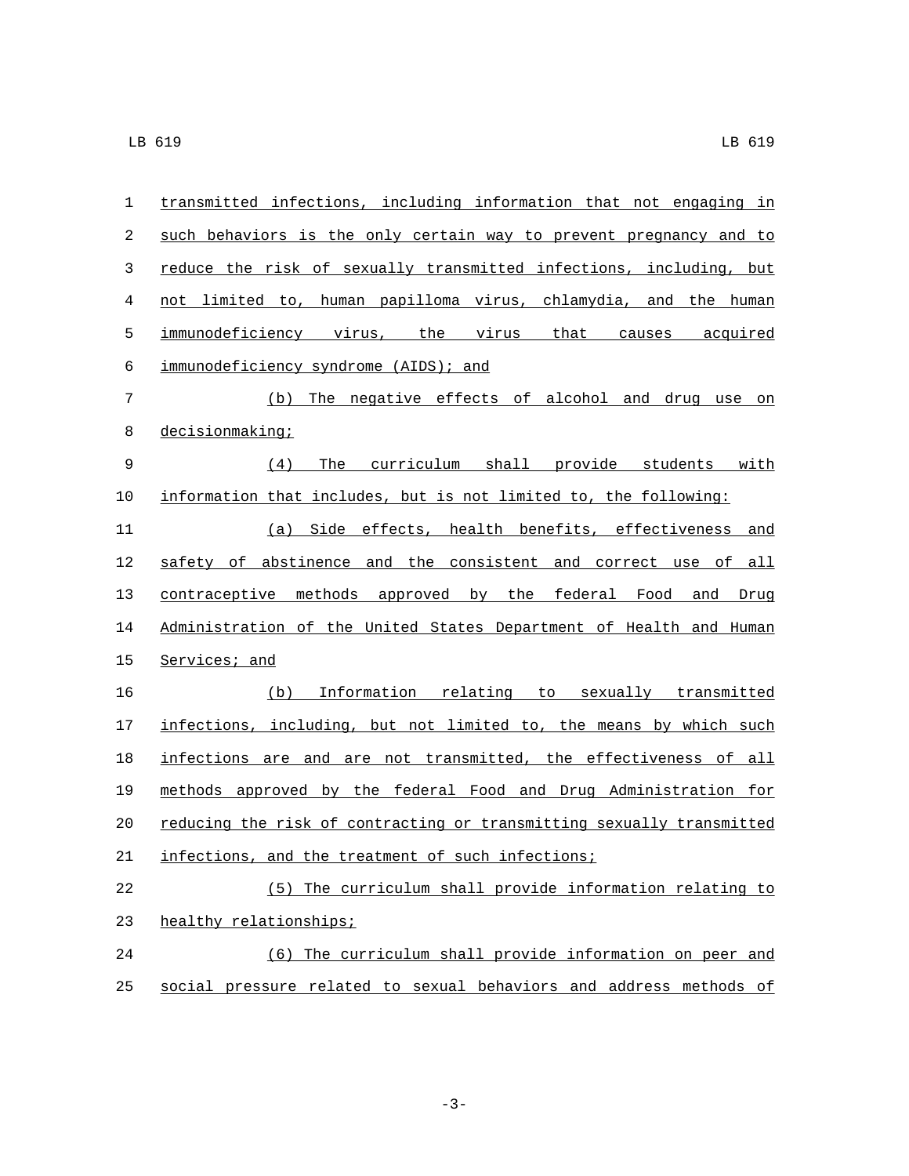| 1  | transmitted infections, including information that not engaging in    |  |  |  |  |  |  |  |
|----|-----------------------------------------------------------------------|--|--|--|--|--|--|--|
| 2  | such behaviors is the only certain way to prevent pregnancy and to    |  |  |  |  |  |  |  |
| 3  | reduce the risk of sexually transmitted infections, including, but    |  |  |  |  |  |  |  |
| 4  | not limited to, human papilloma virus, chlamydia, and the human       |  |  |  |  |  |  |  |
| 5  | immunodeficiency virus, the virus that causes acquired                |  |  |  |  |  |  |  |
| 6  | immunodeficiency syndrome (AIDS); and                                 |  |  |  |  |  |  |  |
| 7  | (b) The negative effects of alcohol and drug use on                   |  |  |  |  |  |  |  |
| 8  | decisionmaking;                                                       |  |  |  |  |  |  |  |
| 9  | The curriculum shall provide students with<br>(4)                     |  |  |  |  |  |  |  |
| 10 | information that includes, but is not limited to, the following:      |  |  |  |  |  |  |  |
| 11 | (a) Side effects, health benefits, effectiveness and                  |  |  |  |  |  |  |  |
| 12 | safety of abstinence and the consistent and correct use of all        |  |  |  |  |  |  |  |
| 13 | contraceptive methods approved by the federal Food and Drug           |  |  |  |  |  |  |  |
| 14 | Administration of the United States Department of Health and Human    |  |  |  |  |  |  |  |
| 15 | Services; and                                                         |  |  |  |  |  |  |  |
| 16 | (b) Information relating to sexually transmitted                      |  |  |  |  |  |  |  |
| 17 | infections, including, but not limited to, the means by which such    |  |  |  |  |  |  |  |
| 18 | infections are and are not transmitted, the effectiveness of all      |  |  |  |  |  |  |  |
| 19 | methods approved by the federal Food and Drug Administration for      |  |  |  |  |  |  |  |
| 20 | reducing the risk of contracting or transmitting sexually transmitted |  |  |  |  |  |  |  |
| 21 | infections, and the treatment of such infections;                     |  |  |  |  |  |  |  |
| 22 | (5) The curriculum shall provide information relating to              |  |  |  |  |  |  |  |
| 23 | healthy relationships;                                                |  |  |  |  |  |  |  |
| 24 | (6) The curriculum shall provide information on peer and              |  |  |  |  |  |  |  |
| 25 | social pressure related to sexual behaviors and address methods of    |  |  |  |  |  |  |  |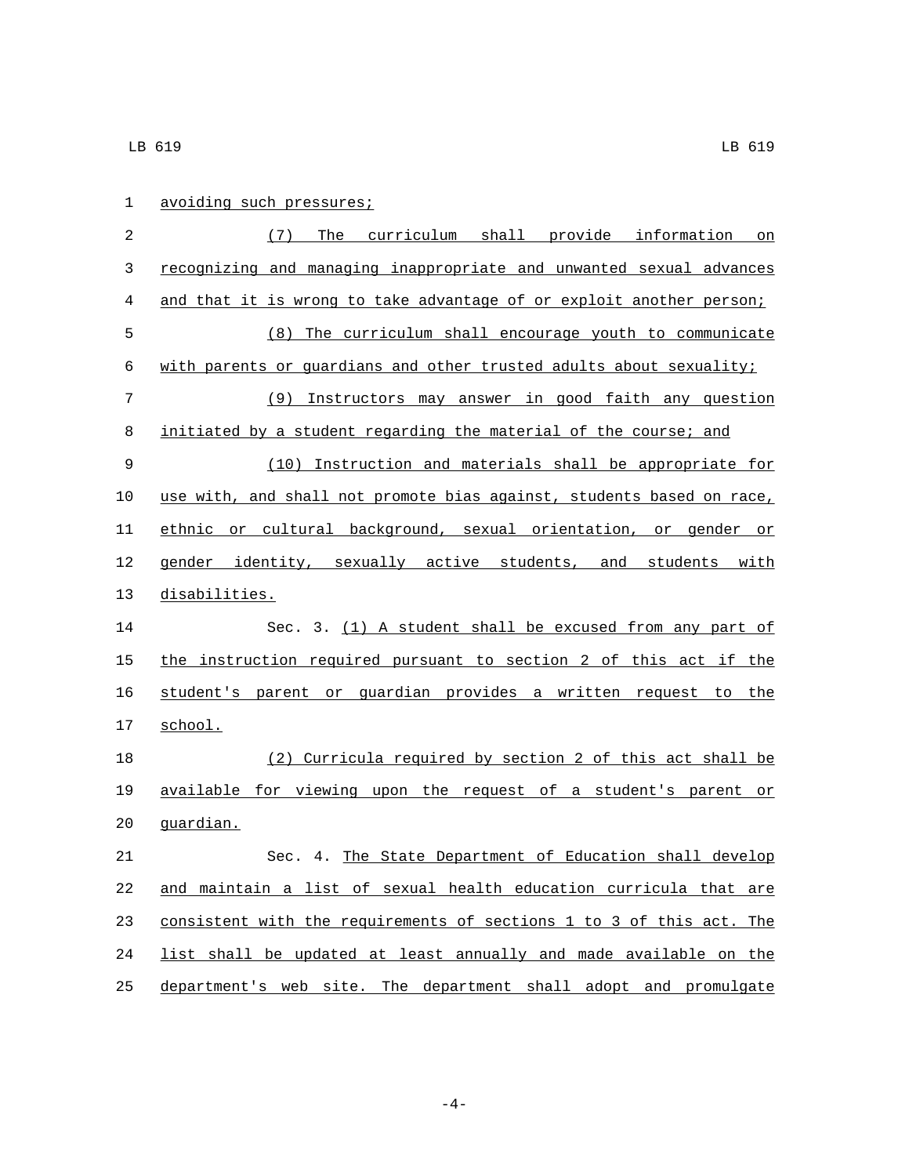| $\mathbf 1$ | avoiding such pressures;                                              |
|-------------|-----------------------------------------------------------------------|
| 2           | The curriculum shall provide information on<br>(7)                    |
| 3           | recognizing and managing inappropriate and unwanted sexual advances   |
| 4           | and that it is wrong to take advantage of or exploit another person;  |
| 5           | The curriculum shall encourage youth to communicate<br>(8)            |
| 6           | with parents or guardians and other trusted adults about sexuality;   |
| 7           | (9) Instructors may answer in good faith any question                 |
| 8           | initiated by a student regarding the material of the course; and      |
| 9           | (10) Instruction and materials shall be appropriate for               |
| 10          | use with, and shall not promote bias against, students based on race, |
| 11          | ethnic or cultural background, sexual orientation, or gender or       |
| 12          | gender identity, sexually active students, and students with          |
| 13          | disabilities.                                                         |
| 14          | Sec. 3. (1) A student shall be excused from any part of               |
| 15          | the instruction required pursuant to section 2 of this act if the     |
| 16          | student's parent or quardian provides a written request to the        |
| 17          | school.                                                               |
| 18          | (2) Curricula required by section 2 of this act shall be              |
| 19          | available for viewing upon the request of a student's parent or       |
| 20          | guardian.                                                             |
| 21          | Sec. 4. The State Department of Education shall develop               |
| 22          | and maintain a list of sexual health education curricula that are     |
| 23          | consistent with the requirements of sections 1 to 3 of this act. The  |
| 24          | list shall be updated at least annually and made available on the     |
| 25          | department's web site. The department shall adopt and promulgate      |